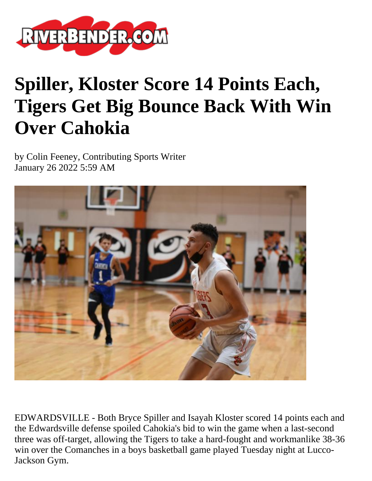

## **Spiller, Kloster Score 14 Points Each, Tigers Get Big Bounce Back With Win Over Cahokia**

by Colin Feeney, Contributing Sports Writer January 26 2022 5:59 AM



EDWARDSVILLE - Both Bryce Spiller and Isayah Kloster scored 14 points each and the Edwardsville defense spoiled Cahokia's bid to win the game when a last-second three was off-target, allowing the Tigers to take a hard-fought and workmanlike 38-36 win over the Comanches in a boys basketball game played Tuesday night at Lucco-Jackson Gym.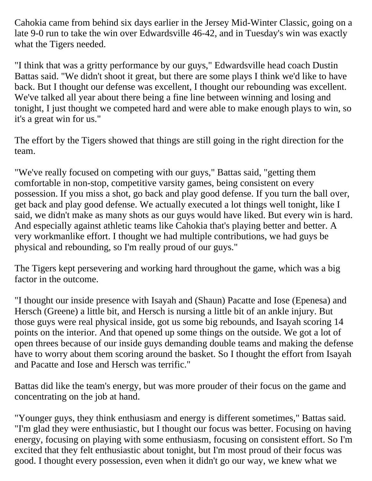Cahokia came from behind six days earlier in the Jersey Mid-Winter Classic, going on a late 9-0 run to take the win over Edwardsville 46-42, and in Tuesday's win was exactly what the Tigers needed.

"I think that was a gritty performance by our guys," Edwardsville head coach Dustin Battas said. "We didn't shoot it great, but there are some plays I think we'd like to have back. But I thought our defense was excellent, I thought our rebounding was excellent. We've talked all year about there being a fine line between winning and losing and tonight, I just thought we competed hard and were able to make enough plays to win, so it's a great win for us."

The effort by the Tigers showed that things are still going in the right direction for the team.

"We've really focused on competing with our guys," Battas said, "getting them comfortable in non-stop, competitive varsity games, being consistent on every possession. If you miss a shot, go back and play good defense. If you turn the ball over, get back and play good defense. We actually executed a lot things well tonight, like I said, we didn't make as many shots as our guys would have liked. But every win is hard. And especially against athletic teams like Cahokia that's playing better and better. A very workmanlike effort. I thought we had multiple contributions, we had guys be physical and rebounding, so I'm really proud of our guys."

The Tigers kept persevering and working hard throughout the game, which was a big factor in the outcome.

"I thought our inside presence with Isayah and (Shaun) Pacatte and Iose (Epenesa) and Hersch (Greene) a little bit, and Hersch is nursing a little bit of an ankle injury. But those guys were real physical inside, got us some big rebounds, and Isayah scoring 14 points on the interior. And that opened up some things on the outside. We got a lot of open threes because of our inside guys demanding double teams and making the defense have to worry about them scoring around the basket. So I thought the effort from Isayah and Pacatte and Iose and Hersch was terrific."

Battas did like the team's energy, but was more prouder of their focus on the game and concentrating on the job at hand.

"Younger guys, they think enthusiasm and energy is different sometimes," Battas said. "I'm glad they were enthusiastic, but I thought our focus was better. Focusing on having energy, focusing on playing with some enthusiasm, focusing on consistent effort. So I'm excited that they felt enthusiastic about tonight, but I'm most proud of their focus was good. I thought every possession, even when it didn't go our way, we knew what we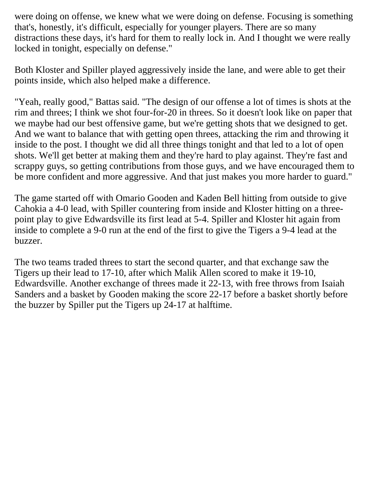were doing on offense, we knew what we were doing on defense. Focusing is something that's, honestly, it's difficult, especially for younger players. There are so many distractions these days, it's hard for them to really lock in. And I thought we were really locked in tonight, especially on defense."

Both Kloster and Spiller played aggressively inside the lane, and were able to get their points inside, which also helped make a difference.

"Yeah, really good," Battas said. "The design of our offense a lot of times is shots at the rim and threes; I think we shot four-for-20 in threes. So it doesn't look like on paper that we maybe had our best offensive game, but we're getting shots that we designed to get. And we want to balance that with getting open threes, attacking the rim and throwing it inside to the post. I thought we did all three things tonight and that led to a lot of open shots. We'll get better at making them and they're hard to play against. They're fast and scrappy guys, so getting contributions from those guys, and we have encouraged them to be more confident and more aggressive. And that just makes you more harder to guard."

The game started off with Omario Gooden and Kaden Bell hitting from outside to give Cahokia a 4-0 lead, with Spiller countering from inside and Kloster hitting on a threepoint play to give Edwardsville its first lead at 5-4. Spiller and Kloster hit again from inside to complete a 9-0 run at the end of the first to give the Tigers a 9-4 lead at the buzzer.

The two teams traded threes to start the second quarter, and that exchange saw the Tigers up their lead to 17-10, after which Malik Allen scored to make it 19-10, Edwardsville. Another exchange of threes made it 22-13, with free throws from Isaiah Sanders and a basket by Gooden making the score 22-17 before a basket shortly before the buzzer by Spiller put the Tigers up 24-17 at halftime.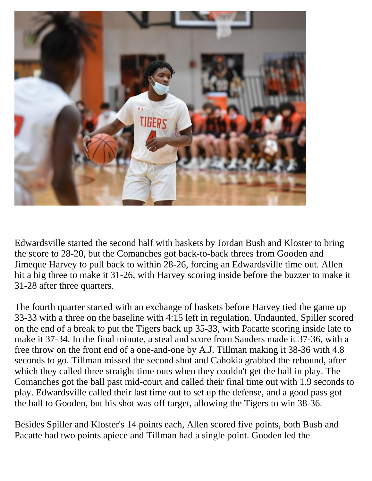

Edwardsville started the second half with baskets by Jordan Bush and Kloster to bring the score to 28-20, but the Comanches got back-to-back threes from Gooden and Jimeque Harvey to pull back to within 28-26, forcing an Edwardsville time out. Allen hit a big three to make it 31-26, with Harvey scoring inside before the buzzer to make it 31-28 after three quarters.

The fourth quarter started with an exchange of baskets before Harvey tied the game up 33-33 with a three on the baseline with 4:15 left in regulation. Undaunted, Spiller scored on the end of a break to put the Tigers back up 35-33, with Pacatte scoring inside late to make it 37-34. In the final minute, a steal and score from Sanders made it 37-36, with a free throw on the front end of a one-and-one by A.J. Tillman making it 38-36 with 4.8 seconds to go. Tillman missed the second shot and Cahokia grabbed the rebound, after which they called three straight time outs when they couldn't get the ball in play. The Comanches got the ball past mid-court and called their final time out with 1.9 seconds to play. Edwardsville called their last time out to set up the defense, and a good pass got the ball to Gooden, but his shot was off target, allowing the Tigers to win 38-36.

Besides Spiller and Kloster's 14 points each, Allen scored five points, both Bush and Pacatte had two points apiece and Tillman had a single point. Gooden led the